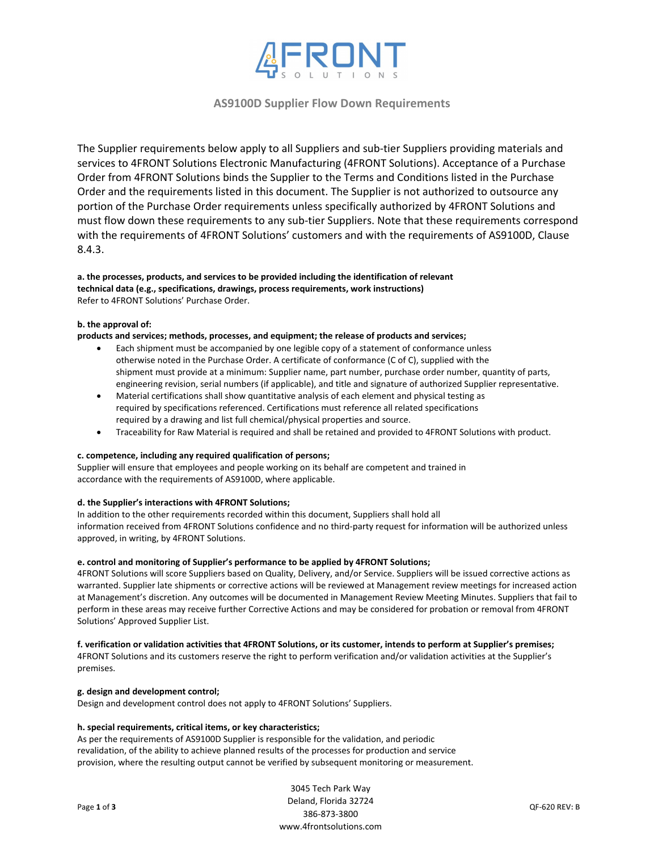

# **AS9100D Supplier Flow Down Requirements**

The Supplier requirements below apply to all Suppliers and sub-tier Suppliers providing materials and services to 4FRONT Solutions Electronic Manufacturing (4FRONT Solutions). Acceptance of a Purchase Order from 4FRONT Solutions binds the Supplier to the Terms and Conditions listed in the Purchase Order and the requirements listed in this document. The Supplier is not authorized to outsource any portion of the Purchase Order requirements unless specifically authorized by 4FRONT Solutions and must flow down these requirements to any sub-tier Suppliers. Note that these requirements correspond with the requirements of 4FRONT Solutions' customers and with the requirements of AS9100D, Clause 8.4.3.

## **a. the processes, products, and services to be provided including the identification of relevant technical data (e.g., specifications, drawings, process requirements, work instructions)** Refer to 4FRONT Solutions' Purchase Order.

# **b. the approval of:**

#### **products and services; methods, processes, and equipment; the release of products and services;**

- Each shipment must be accompanied by one legible copy of a statement of conformance unless otherwise noted in the Purchase Order. A certificate of conformance (C of C), supplied with the shipment must provide at a minimum: Supplier name, part number, purchase order number, quantity of parts, engineering revision, serial numbers (if applicable), and title and signature of authorized Supplier representative.
- Material certifications shall show quantitative analysis of each element and physical testing as required by specifications referenced. Certifications must reference all related specifications required by a drawing and list full chemical/physical properties and source.
- Traceability for Raw Material is required and shall be retained and provided to 4FRONT Solutions with product.

#### **c. competence, including any required qualification of persons;**

Supplier will ensure that employees and people working on its behalf are competent and trained in accordance with the requirements of AS9100D, where applicable.

# **d. the Supplier's interactions with 4FRONT Solutions;**

In addition to the other requirements recorded within this document, Suppliers shall hold all information received from 4FRONT Solutions confidence and no third‐party request for information will be authorized unless approved, in writing, by 4FRONT Solutions.

#### **e. control and monitoring of Supplier's performance to be applied by 4FRONT Solutions;**

4FRONT Solutions will score Suppliers based on Quality, Delivery, and/or Service. Suppliers will be issued corrective actions as warranted. Supplier late shipments or corrective actions will be reviewed at Management review meetings for increased action at Management's discretion. Any outcomes will be documented in Management Review Meeting Minutes. Suppliers that fail to perform in these areas may receive further Corrective Actions and may be considered for probation or removal from 4FRONT Solutions' Approved Supplier List.

# f. verification or validation activities that 4FRONT Solutions, or its customer, intends to perform at Supplier's premises;

4FRONT Solutions and its customers reserve the right to perform verification and/or validation activities at the Supplier's premises.

### **g. design and development control;**

Design and development control does not apply to 4FRONT Solutions' Suppliers.

## **h. special requirements, critical items, or key characteristics;**

As per the requirements of AS9100D Supplier is responsible for the validation, and periodic revalidation, of the ability to achieve planned results of the processes for production and service provision, where the resulting output cannot be verified by subsequent monitoring or measurement.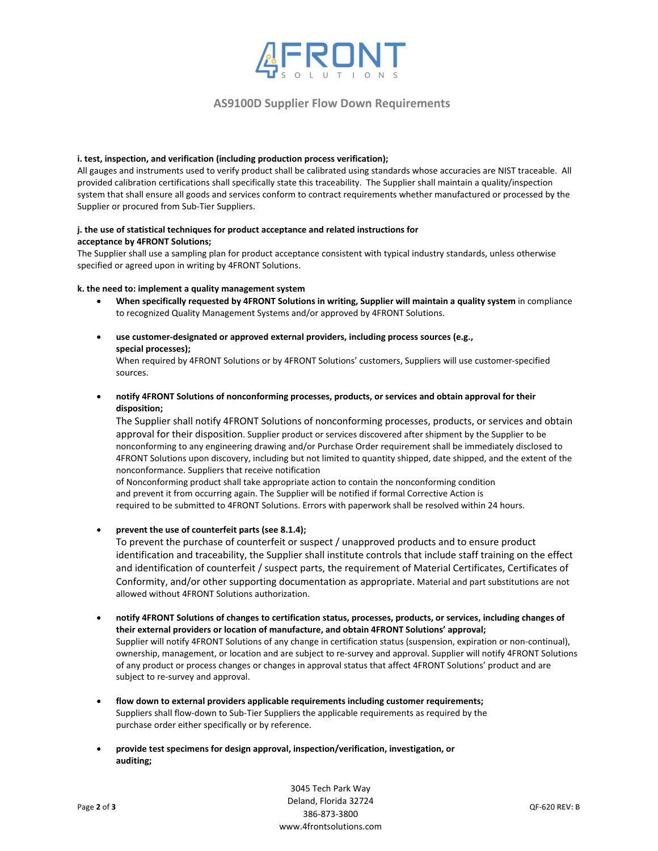

# **AS9100D Supplier Flow Down Requirements**

#### **i. test, inspection, and verification (including production process verification);**

All gauges and instruments used to verify product shall be calibrated using standards whose accuracies are NIST traceable. All provided calibration certifications shall specifically state this traceability. The Supplier shall maintain a quality/inspection system that shall ensure all goods and services conform to contract requirements whether manufactured or processed by the Supplier or procured from Sub‐Tier Suppliers.

### **j. the use of statistical techniques for product acceptance and related instructions for acceptance by 4FRONT Solutions;**

The Supplier shall use a sampling plan for product acceptance consistent with typical industry standards, unless otherwise specified or agreed upon in writing by 4FRONT Solutions.

### **k. the need to: implement a quality management system**

- **When specifically requested by 4FRONT Solutions in writing, Supplier will maintain a quality system** in compliance to recognized Quality Management Systems and/or approved by 4FRONT Solutions.
- **use customer‐designated or approved external providers, including process sources (e.g., special processes);**

When required by 4FRONT Solutions or by 4FRONT Solutions' customers, Suppliers will use customer‐specified sources.

 **notify 4FRONT Solutions of nonconforming processes, products, or services and obtain approval for their disposition;**

The Supplier shall notify 4FRONT Solutions of nonconforming processes, products, or services and obtain approval for their disposition. Supplier product or services discovered after shipment by the Supplier to be nonconforming to any engineering drawing and/or Purchase Order requirement shall be immediately disclosed to 4FRONT Solutions upon discovery, including but not limited to quantity shipped, date shipped, and the extent of the nonconformance. Suppliers that receive notification

of Nonconforming product shall take appropriate action to contain the nonconforming condition and prevent it from occurring again. The Supplier will be notified if formal Corrective Action is required to be submitted to 4FRONT Solutions. Errors with paperwork shall be resolved within 24 hours.

# **prevent the use of counterfeit parts (see 8.1.4);**

To prevent the purchase of counterfeit or suspect / unapproved products and to ensure product identification and traceability, the Supplier shall institute controls that include staff training on the effect and identification of counterfeit / suspect parts, the requirement of Material Certificates, Certificates of Conformity, and/or other supporting documentation as appropriate. Material and part substitutions are not allowed without 4FRONT Solutions authorization.

- **notify 4FRONT Solutions of changes to certification status, processes, products, or services, including changes of their external providers or location of manufacture, and obtain 4FRONT Solutions' approval;** Supplier will notify 4FRONT Solutions of any change in certification status (suspension, expiration or non‐continual), ownership, management, or location and are subject to re‐survey and approval. Supplier will notify 4FRONT Solutions of any product or process changes or changes in approval status that affect 4FRONT Solutions' product and are subject to re‐survey and approval.
- **flow down to external providers applicable requirements including customer requirements;** Suppliers shall flow‐down to Sub‐Tier Suppliers the applicable requirements as required by the purchase order either specifically or by reference.
- **provide test specimens for design approval, inspection/verification, investigation, or auditing;**